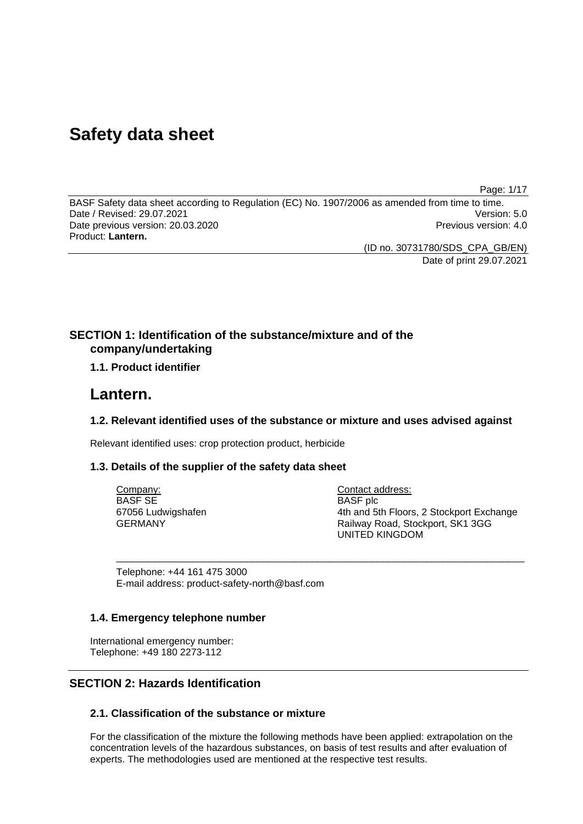# **Safety data sheet**

Page: 1/17

BASF Safety data sheet according to Regulation (EC) No. 1907/2006 as amended from time to time. Date / Revised: 29.07.2021 Version: 5.0 Date previous version: 20.03.2020 **Previous version: 4.0** Previous version: 4.0 Product: **Lantern.** 

(ID no. 30731780/SDS\_CPA\_GB/EN)

Date of print 29.07.2021

# **SECTION 1: Identification of the substance/mixture and of the company/undertaking**

# **1.1. Product identifier**

# **Lantern.**

### **1.2. Relevant identified uses of the substance or mixture and uses advised against**

\_\_\_\_\_\_\_\_\_\_\_\_\_\_\_\_\_\_\_\_\_\_\_\_\_\_\_\_\_\_\_\_\_\_\_\_\_\_\_\_\_\_\_\_\_\_\_\_\_\_\_\_\_\_\_\_\_\_\_\_\_\_\_\_\_\_\_\_\_\_\_\_\_\_\_

Relevant identified uses: crop protection product, herbicide

### **1.3. Details of the supplier of the safety data sheet**

Company: BASF SE 67056 Ludwigshafen GERMANY

Contact address: BASF plc 4th and 5th Floors, 2 Stockport Exchange Railway Road, Stockport, SK1 3GG UNITED KINGDOM

Telephone: +44 161 475 3000 E-mail address: product-safety-north@basf.com

### **1.4. Emergency telephone number**

International emergency number: Telephone: +49 180 2273-112

# **SECTION 2: Hazards Identification**

# **2.1. Classification of the substance or mixture**

For the classification of the mixture the following methods have been applied: extrapolation on the concentration levels of the hazardous substances, on basis of test results and after evaluation of experts. The methodologies used are mentioned at the respective test results.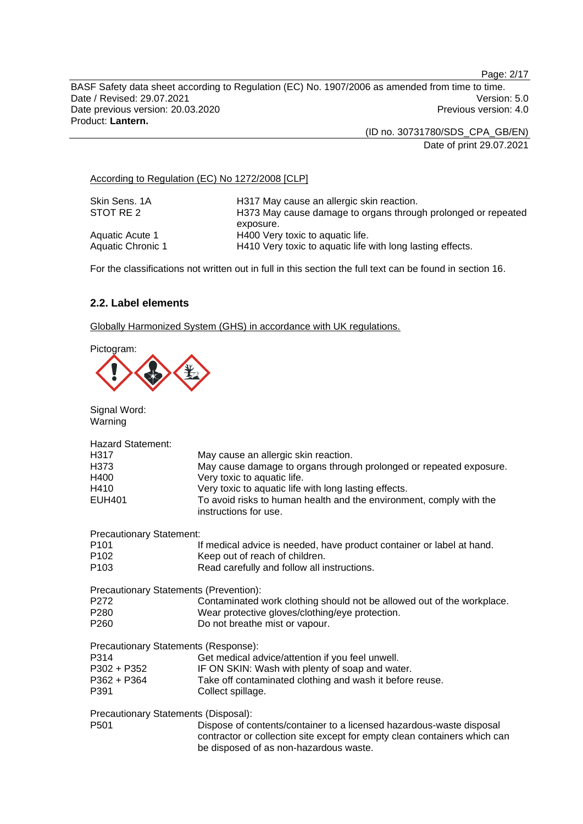Page: 2/17

BASF Safety data sheet according to Regulation (EC) No. 1907/2006 as amended from time to time. Date / Revised: 29.07.2021 Version: 5.0 Date previous version: 20.03.2020 **Previous version: 4.0** Previous version: 4.0 Product: **Lantern.** 

(ID no. 30731780/SDS\_CPA\_GB/EN)

Date of print 29.07.2021

### According to Regulation (EC) No 1272/2008 [CLP]

| Skin Sens, 1A     | H317 May cause an allergic skin reaction.                     |
|-------------------|---------------------------------------------------------------|
| STOT RE 2         | H373 May cause damage to organs through prolonged or repeated |
|                   | exposure.                                                     |
| Aquatic Acute 1   | H400 Very toxic to aquatic life.                              |
| Aquatic Chronic 1 | H410 Very toxic to aquatic life with long lasting effects.    |

For the classifications not written out in full in this section the full text can be found in section 16.

# **2.2. Label elements**

Globally Harmonized System (GHS) in accordance with UK regulations.

Pictogram:

| Signal Word:<br>Warning                                                                |                                                                                                                                                                                                                                                                                                    |
|----------------------------------------------------------------------------------------|----------------------------------------------------------------------------------------------------------------------------------------------------------------------------------------------------------------------------------------------------------------------------------------------------|
| <b>Hazard Statement:</b><br>H317<br>H <sub>3</sub> 73<br>H400<br>H410<br><b>EUH401</b> | May cause an allergic skin reaction.<br>May cause damage to organs through prolonged or repeated exposure.<br>Very toxic to aquatic life.<br>Very toxic to aquatic life with long lasting effects.<br>To avoid risks to human health and the environment, comply with the<br>instructions for use. |
| <b>Precautionary Statement:</b>                                                        |                                                                                                                                                                                                                                                                                                    |
| P <sub>101</sub><br>P <sub>102</sub><br>P <sub>103</sub>                               | If medical advice is needed, have product container or label at hand.<br>Keep out of reach of children.<br>Read carefully and follow all instructions.                                                                                                                                             |
| Precautionary Statements (Prevention):                                                 |                                                                                                                                                                                                                                                                                                    |
| P <sub>272</sub><br>P <sub>280</sub><br>P <sub>260</sub>                               | Contaminated work clothing should not be allowed out of the workplace.<br>Wear protective gloves/clothing/eye protection.<br>Do not breathe mist or vapour.                                                                                                                                        |
| Precautionary Statements (Response):                                                   |                                                                                                                                                                                                                                                                                                    |
| P314                                                                                   | Get medical advice/attention if you feel unwell.                                                                                                                                                                                                                                                   |
| P302 + P352                                                                            | IF ON SKIN: Wash with plenty of soap and water.                                                                                                                                                                                                                                                    |
| P362 + P364<br>P391                                                                    | Take off contaminated clothing and wash it before reuse.<br>Collect spillage.                                                                                                                                                                                                                      |
| Precautionary Statements (Disposal):                                                   |                                                                                                                                                                                                                                                                                                    |
| P <sub>501</sub>                                                                       | Dispose of contents/container to a licensed hazardous-waste disposal<br>contractor or collection site except for empty clean containers which can<br>be disposed of as non-hazardous waste.                                                                                                        |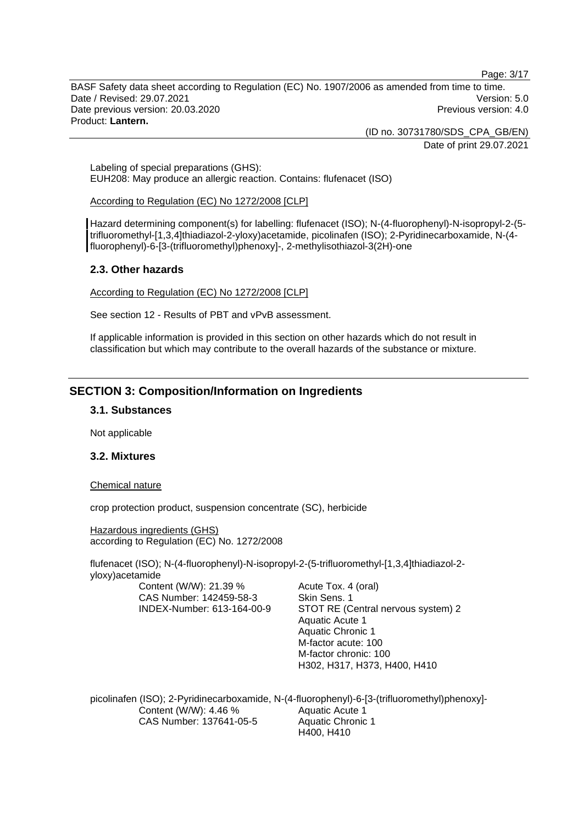Page: 3/17

BASF Safety data sheet according to Regulation (EC) No. 1907/2006 as amended from time to time. Date / Revised: 29.07.2021 Version: 5.0 Date previous version: 20.03.2020 **Previous version: 4.0** Previous version: 4.0 Product: **Lantern.** 

(ID no. 30731780/SDS\_CPA\_GB/EN)

Date of print 29.07.2021

Labeling of special preparations (GHS): EUH208: May produce an allergic reaction. Contains: flufenacet (ISO)

#### According to Regulation (EC) No 1272/2008 [CLP]

Hazard determining component(s) for labelling: flufenacet (ISO); N-(4-fluorophenyl)-N-isopropyl-2-(5 trifluoromethyl-[1,3,4]thiadiazol-2-yloxy)acetamide, picolinafen (ISO); 2-Pyridinecarboxamide, N-(4 fluorophenyl)-6-[3-(trifluoromethyl)phenoxy]-, 2-methylisothiazol-3(2H)-one

### **2.3. Other hazards**

According to Regulation (EC) No 1272/2008 [CLP]

See section 12 - Results of PBT and vPvB assessment.

If applicable information is provided in this section on other hazards which do not result in classification but which may contribute to the overall hazards of the substance or mixture.

# **SECTION 3: Composition/Information on Ingredients**

### **3.1. Substances**

Not applicable

### **3.2. Mixtures**

#### Chemical nature

crop protection product, suspension concentrate (SC), herbicide

Hazardous ingredients (GHS) according to Regulation (EC) No. 1272/2008

flufenacet (ISO); N-(4-fluorophenyl)-N-isopropyl-2-(5-trifluoromethyl-[1,3,4]thiadiazol-2 yloxy)acetamide

Content (W/W): 21.39 % CAS Number: 142459-58-3 INDEX-Number: 613-164-00-9 Acute Tox. 4 (oral) Skin Sens. 1 STOT RE (Central nervous system) 2 Aquatic Acute 1 Aquatic Chronic 1 M-factor acute: 100 M-factor chronic: 100 H302, H317, H373, H400, H410

picolinafen (ISO); 2-Pyridinecarboxamide, N-(4-fluorophenyl)-6-[3-(trifluoromethyl)phenoxy]- Content (W/W): 4.46 % CAS Number: 137641-05-5 Aquatic Acute 1 Aquatic Chronic 1 H400, H410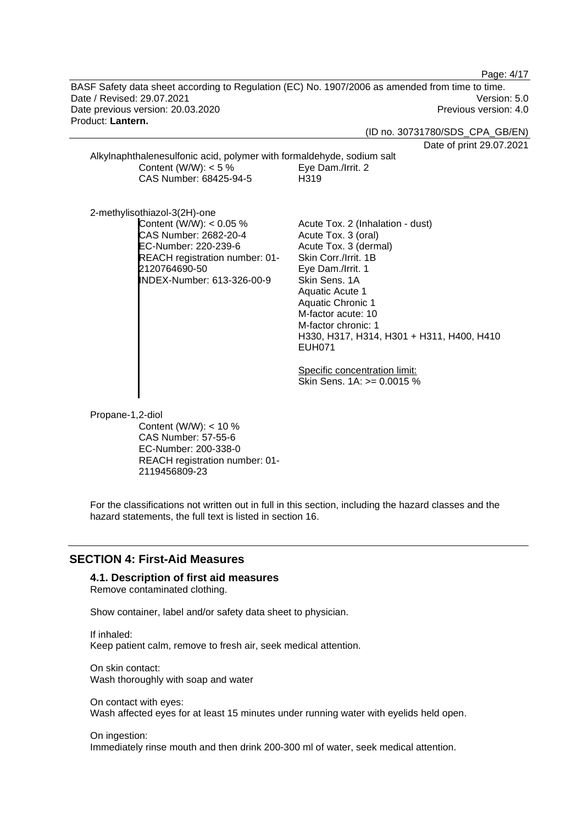Page: 4/17

BASF Safety data sheet according to Regulation (EC) No. 1907/2006 as amended from time to time. Date / Revised: 29.07.2021 Version: 5.0 Date previous version: 20.03.2020 **Previous version: 4.0** Previous version: 4.0 Product: **Lantern.** 

#### (ID no. 30731780/SDS\_CPA\_GB/EN)

Date of print 29.07.2021

| Alkylnaphthalenesulfonic acid, polymer with formaldehyde, sodium salt |                   |
|-----------------------------------------------------------------------|-------------------|
| Content (W/W): $<$ 5 %                                                | Eye Dam./Irrit. 2 |
| CAS Number: 68425-94-5                                                | H319              |

2-methylisothiazol-3(2H)-one Content  $(W/W)$ : < 0.05 % CAS Number: 2682-20-4 EC-Number: 220-239-6 REACH registration number: 01- 2120764690-50 INDEX-Number: 613-326-00-9

Acute Tox. 2 (Inhalation - dust) Acute Tox. 3 (oral) Acute Tox. 3 (dermal) Skin Corr./Irrit. 1B Eye Dam./Irrit. 1 Skin Sens. 1A Aquatic Acute 1 Aquatic Chronic 1 M-factor acute: 10 M-factor chronic: 1 H330, H317, H314, H301 + H311, H400, H410 EUH071

Specific concentration limit: Skin Sens. 1A: >= 0.0015 %

Propane-1,2-diol

Content (W/W): < 10 % CAS Number: 57-55-6 EC-Number: 200-338-0 REACH registration number: 01- 2119456809-23

For the classifications not written out in full in this section, including the hazard classes and the hazard statements, the full text is listed in section 16.

#### **SECTION 4: First-Aid Measures**

**4.1. Description of first aid measures** 

Remove contaminated clothing.

Show container, label and/or safety data sheet to physician.

If inhaled: Keep patient calm, remove to fresh air, seek medical attention.

On skin contact: Wash thoroughly with soap and water

On contact with eyes: Wash affected eyes for at least 15 minutes under running water with eyelids held open.

On ingestion:

Immediately rinse mouth and then drink 200-300 ml of water, seek medical attention.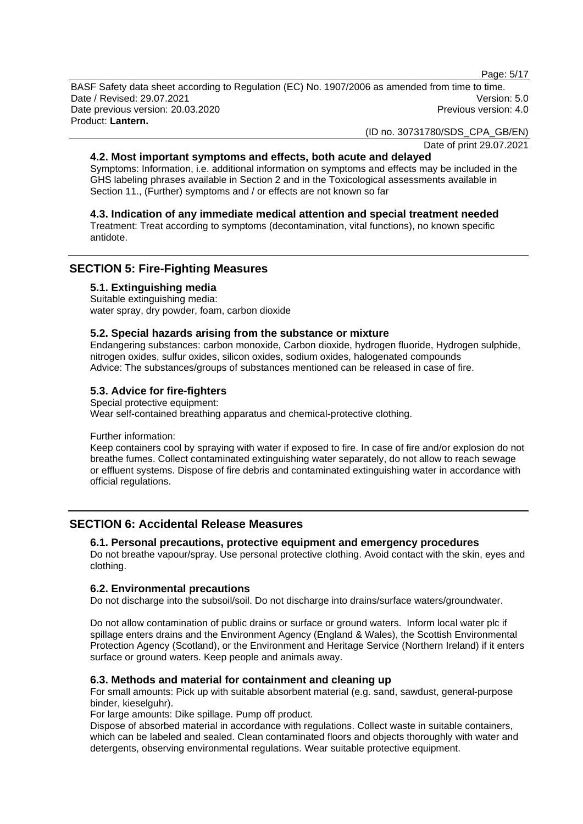Page: 5/17

BASF Safety data sheet according to Regulation (EC) No. 1907/2006 as amended from time to time. Date / Revised: 29.07.2021 Version: 5.0 Date previous version: 20.03.2020 **Previous version: 4.0** Previous version: 4.0 Product: **Lantern.** 

(ID no. 30731780/SDS\_CPA\_GB/EN)

Date of print 29.07.2021

### **4.2. Most important symptoms and effects, both acute and delayed**

Symptoms: Information, i.e. additional information on symptoms and effects may be included in the GHS labeling phrases available in Section 2 and in the Toxicological assessments available in Section 11., (Further) symptoms and / or effects are not known so far

### **4.3. Indication of any immediate medical attention and special treatment needed**

Treatment: Treat according to symptoms (decontamination, vital functions), no known specific antidote.

# **SECTION 5: Fire-Fighting Measures**

#### **5.1. Extinguishing media**

Suitable extinguishing media: water spray, dry powder, foam, carbon dioxide

#### **5.2. Special hazards arising from the substance or mixture**

Endangering substances: carbon monoxide, Carbon dioxide, hydrogen fluoride, Hydrogen sulphide, nitrogen oxides, sulfur oxides, silicon oxides, sodium oxides, halogenated compounds Advice: The substances/groups of substances mentioned can be released in case of fire.

# **5.3. Advice for fire-fighters**

Special protective equipment: Wear self-contained breathing apparatus and chemical-protective clothing.

Further information:

Keep containers cool by spraying with water if exposed to fire. In case of fire and/or explosion do not breathe fumes. Collect contaminated extinguishing water separately, do not allow to reach sewage or effluent systems. Dispose of fire debris and contaminated extinguishing water in accordance with official regulations.

### **SECTION 6: Accidental Release Measures**

### **6.1. Personal precautions, protective equipment and emergency procedures**

Do not breathe vapour/spray. Use personal protective clothing. Avoid contact with the skin, eyes and clothing.

### **6.2. Environmental precautions**

Do not discharge into the subsoil/soil. Do not discharge into drains/surface waters/groundwater.

Do not allow contamination of public drains or surface or ground waters. Inform local water plc if spillage enters drains and the Environment Agency (England & Wales), the Scottish Environmental Protection Agency (Scotland), or the Environment and Heritage Service (Northern Ireland) if it enters surface or ground waters. Keep people and animals away.

### **6.3. Methods and material for containment and cleaning up**

For small amounts: Pick up with suitable absorbent material (e.g. sand, sawdust, general-purpose binder, kieselguhr).

For large amounts: Dike spillage. Pump off product.

Dispose of absorbed material in accordance with regulations. Collect waste in suitable containers, which can be labeled and sealed. Clean contaminated floors and objects thoroughly with water and detergents, observing environmental regulations. Wear suitable protective equipment.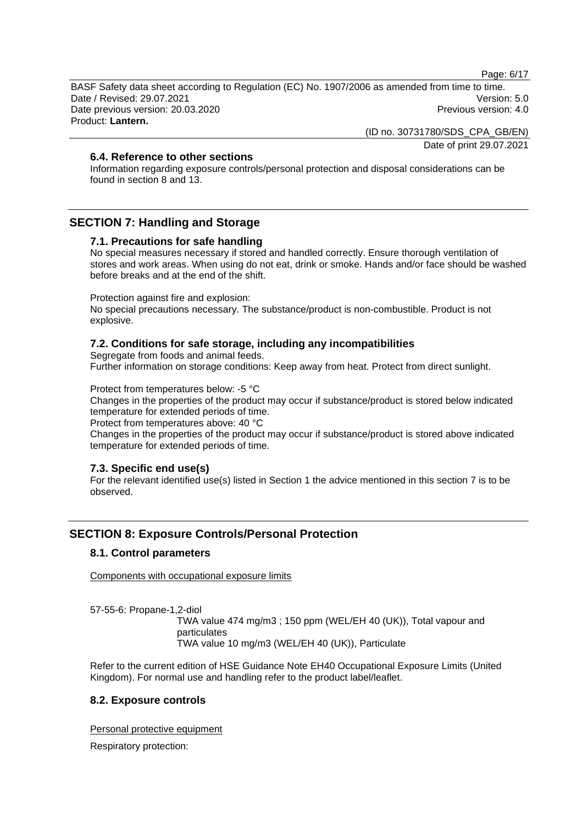Page: 6/17

BASF Safety data sheet according to Regulation (EC) No. 1907/2006 as amended from time to time. Date / Revised: 29.07.2021 Version: 5.0 Date previous version: 20.03.2020 **Previous version: 4.0** Previous version: 4.0 Product: **Lantern.** 

(ID no. 30731780/SDS\_CPA\_GB/EN)

Date of print 29.07.2021

### **6.4. Reference to other sections**

Information regarding exposure controls/personal protection and disposal considerations can be found in section 8 and 13.

# **SECTION 7: Handling and Storage**

#### **7.1. Precautions for safe handling**

No special measures necessary if stored and handled correctly. Ensure thorough ventilation of stores and work areas. When using do not eat, drink or smoke. Hands and/or face should be washed before breaks and at the end of the shift.

Protection against fire and explosion:

No special precautions necessary. The substance/product is non-combustible. Product is not explosive.

#### **7.2. Conditions for safe storage, including any incompatibilities**

Segregate from foods and animal feeds.

Further information on storage conditions: Keep away from heat. Protect from direct sunlight.

Protect from temperatures below: -5 °C

Changes in the properties of the product may occur if substance/product is stored below indicated temperature for extended periods of time.

Protect from temperatures above: 40 °C

Changes in the properties of the product may occur if substance/product is stored above indicated temperature for extended periods of time.

#### **7.3. Specific end use(s)**

For the relevant identified use(s) listed in Section 1 the advice mentioned in this section 7 is to be observed.

# **SECTION 8: Exposure Controls/Personal Protection**

### **8.1. Control parameters**

Components with occupational exposure limits

57-55-6: Propane-1,2-diol

TWA value 474 mg/m3 ; 150 ppm (WEL/EH 40 (UK)), Total vapour and particulates TWA value 10 mg/m3 (WEL/EH 40 (UK)), Particulate

Refer to the current edition of HSE Guidance Note EH40 Occupational Exposure Limits (United Kingdom). For normal use and handling refer to the product label/leaflet.

### **8.2. Exposure controls**

Personal protective equipment

Respiratory protection: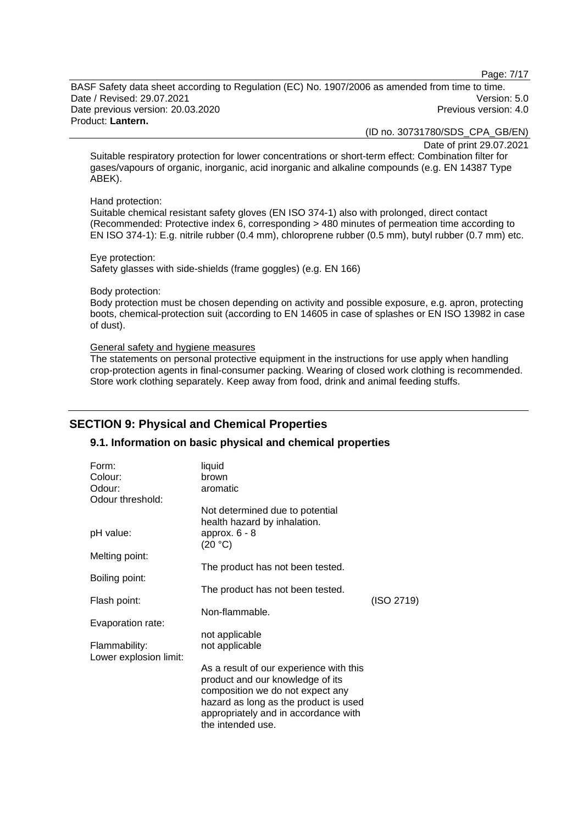Page: 7/17

BASF Safety data sheet according to Regulation (EC) No. 1907/2006 as amended from time to time. Date / Revised: 29.07.2021 Version: 5.0 Date previous version: 20.03.2020 **Previous version: 4.0** Previous version: 4.0 Product: **Lantern.** 

(ID no. 30731780/SDS\_CPA\_GB/EN)

Date of print 29.07.2021

Suitable respiratory protection for lower concentrations or short-term effect: Combination filter for gases/vapours of organic, inorganic, acid inorganic and alkaline compounds (e.g. EN 14387 Type ABEK).

#### Hand protection:

Suitable chemical resistant safety gloves (EN ISO 374-1) also with prolonged, direct contact (Recommended: Protective index 6, corresponding > 480 minutes of permeation time according to EN ISO 374-1): E.g. nitrile rubber (0.4 mm), chloroprene rubber (0.5 mm), butyl rubber (0.7 mm) etc.

Eye protection: Safety glasses with side-shields (frame goggles) (e.g. EN 166)

#### Body protection:

Body protection must be chosen depending on activity and possible exposure, e.g. apron, protecting boots, chemical-protection suit (according to EN 14605 in case of splashes or EN ISO 13982 in case of dust).

#### General safety and hygiene measures

The statements on personal protective equipment in the instructions for use apply when handling crop-protection agents in final-consumer packing. Wearing of closed work clothing is recommended. Store work clothing separately. Keep away from food, drink and animal feeding stuffs.

# **SECTION 9: Physical and Chemical Properties**

### **9.1. Information on basic physical and chemical properties**

| Form:<br>Colour:<br>Odour:<br>Odour threshold: | liquid<br>brown<br>aromatic                                                                                                                                                                                           |            |
|------------------------------------------------|-----------------------------------------------------------------------------------------------------------------------------------------------------------------------------------------------------------------------|------------|
|                                                | Not determined due to potential<br>health hazard by inhalation.                                                                                                                                                       |            |
| pH value:                                      | approx. $6 - 8$<br>(20 °C)                                                                                                                                                                                            |            |
| Melting point:                                 |                                                                                                                                                                                                                       |            |
| Boiling point:                                 | The product has not been tested.                                                                                                                                                                                      |            |
|                                                | The product has not been tested.                                                                                                                                                                                      |            |
| Flash point:                                   | Non-flammable.                                                                                                                                                                                                        | (ISO 2719) |
| Evaporation rate:                              |                                                                                                                                                                                                                       |            |
| Flammability:<br>Lower explosion limit:        | not applicable<br>not applicable                                                                                                                                                                                      |            |
|                                                | As a result of our experience with this<br>product and our knowledge of its<br>composition we do not expect any<br>hazard as long as the product is used<br>appropriately and in accordance with<br>the intended use. |            |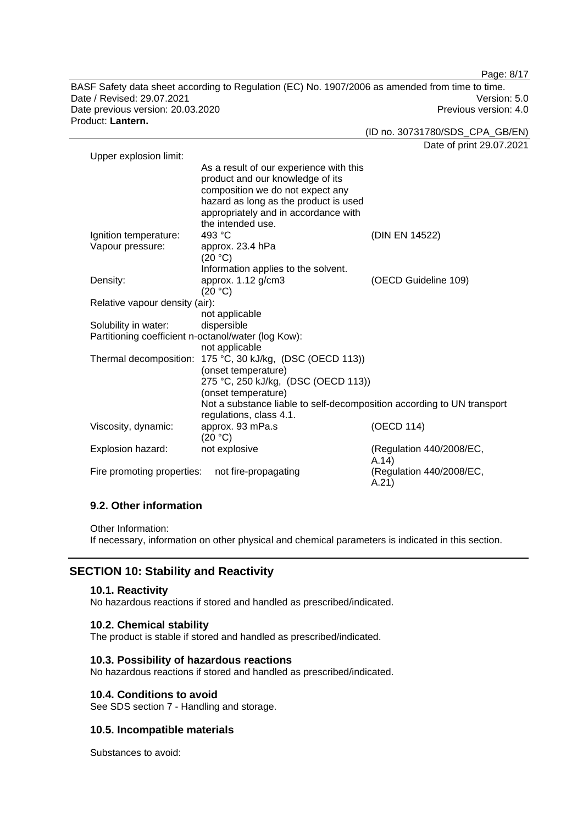BASF Safety data sheet according to Regulation (EC) No. 1907/2006 as amended from time to time. Date / Revised: 29.07.2021 Version: 5.0 Date previous version: 20.03.2020 **Previous version: 4.0** Previous version: 4.0 Product: **Lantern.** 

(ID no. 30731780/SDS\_CPA\_GB/EN)

Date of print 29.07.2021

Page: 8/17

| Upper explosion limit:                              |                                                                                                                                                                                                                       |                                   |
|-----------------------------------------------------|-----------------------------------------------------------------------------------------------------------------------------------------------------------------------------------------------------------------------|-----------------------------------|
|                                                     | As a result of our experience with this<br>product and our knowledge of its<br>composition we do not expect any<br>hazard as long as the product is used<br>appropriately and in accordance with<br>the intended use. |                                   |
| Ignition temperature:                               | 493 °C                                                                                                                                                                                                                | (DIN EN 14522)                    |
| Vapour pressure:                                    | approx. 23.4 hPa<br>(20 °C)                                                                                                                                                                                           |                                   |
|                                                     | Information applies to the solvent.                                                                                                                                                                                   |                                   |
| Density:                                            | approx. 1.12 g/cm3<br>(20 °C)                                                                                                                                                                                         | (OECD Guideline 109)              |
| Relative vapour density (air):                      |                                                                                                                                                                                                                       |                                   |
|                                                     | not applicable                                                                                                                                                                                                        |                                   |
| Solubility in water:                                | dispersible                                                                                                                                                                                                           |                                   |
| Partitioning coefficient n-octanol/water (log Kow): |                                                                                                                                                                                                                       |                                   |
|                                                     | not applicable                                                                                                                                                                                                        |                                   |
|                                                     | Thermal decomposition: 175 °C, 30 kJ/kg, (DSC (OECD 113))                                                                                                                                                             |                                   |
|                                                     | (onset temperature)                                                                                                                                                                                                   |                                   |
|                                                     | 275 °C, 250 kJ/kg, (DSC (OECD 113))                                                                                                                                                                                   |                                   |
|                                                     | (onset temperature)                                                                                                                                                                                                   |                                   |
|                                                     | Not a substance liable to self-decomposition according to UN transport<br>regulations, class 4.1.                                                                                                                     |                                   |
|                                                     |                                                                                                                                                                                                                       |                                   |
| Viscosity, dynamic:                                 | approx. 93 mPa.s<br>(20 °C)                                                                                                                                                                                           | (OECD 114)                        |
| Explosion hazard:                                   | not explosive                                                                                                                                                                                                         | (Regulation 440/2008/EC,<br>A.14) |
| Fire promoting properties:                          | not fire-propagating                                                                                                                                                                                                  | (Regulation 440/2008/EC,<br>A.21) |

# **9.2. Other information**

Other Information:

If necessary, information on other physical and chemical parameters is indicated in this section.

# **SECTION 10: Stability and Reactivity**

#### **10.1. Reactivity**

No hazardous reactions if stored and handled as prescribed/indicated.

#### **10.2. Chemical stability**

The product is stable if stored and handled as prescribed/indicated.

### **10.3. Possibility of hazardous reactions**

No hazardous reactions if stored and handled as prescribed/indicated.

#### **10.4. Conditions to avoid**

See SDS section 7 - Handling and storage.

#### **10.5. Incompatible materials**

Substances to avoid: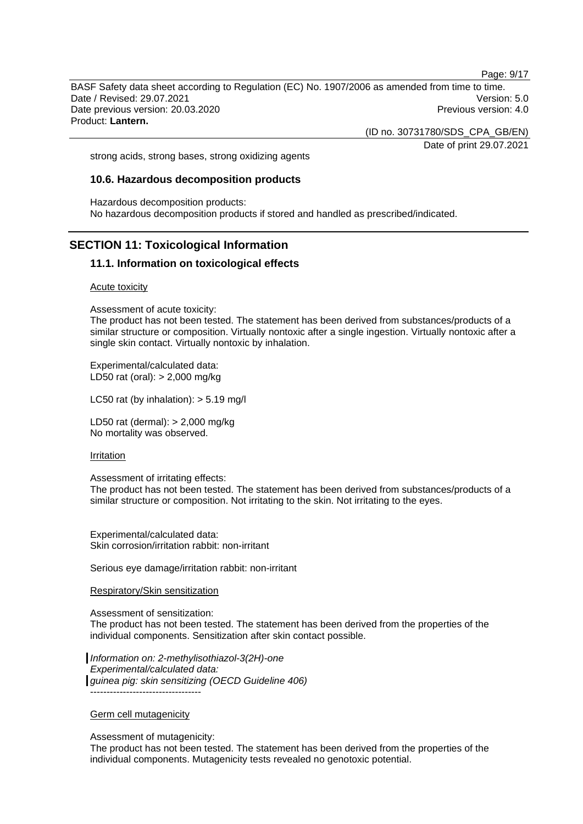Page: 9/17

BASF Safety data sheet according to Regulation (EC) No. 1907/2006 as amended from time to time. Date / Revised: 29.07.2021 Version: 5.0 Date previous version: 20.03.2020 **Previous version: 4.0** Previous version: 4.0 Product: **Lantern.** 

(ID no. 30731780/SDS\_CPA\_GB/EN)

Date of print 29.07.2021

strong acids, strong bases, strong oxidizing agents

#### **10.6. Hazardous decomposition products**

Hazardous decomposition products: No hazardous decomposition products if stored and handled as prescribed/indicated.

# **SECTION 11: Toxicological Information**

### **11.1. Information on toxicological effects**

Acute toxicity

Assessment of acute toxicity:

The product has not been tested. The statement has been derived from substances/products of a similar structure or composition. Virtually nontoxic after a single ingestion. Virtually nontoxic after a single skin contact. Virtually nontoxic by inhalation.

Experimental/calculated data: LD50 rat (oral): > 2,000 mg/kg

LC50 rat (by inhalation):  $> 5.19$  mg/l

LD50 rat (dermal): > 2,000 mg/kg No mortality was observed.

#### Irritation

Assessment of irritating effects:

The product has not been tested. The statement has been derived from substances/products of a similar structure or composition. Not irritating to the skin. Not irritating to the eyes.

Experimental/calculated data: Skin corrosion/irritation rabbit: non-irritant

Serious eye damage/irritation rabbit: non-irritant

#### Respiratory/Skin sensitization

Assessment of sensitization:

The product has not been tested. The statement has been derived from the properties of the individual components. Sensitization after skin contact possible.

*Information on: 2-methylisothiazol-3(2H)-one Experimental/calculated data: guinea pig: skin sensitizing (OECD Guideline 406)* ----------------------------------

#### Germ cell mutagenicity

Assessment of mutagenicity:

The product has not been tested. The statement has been derived from the properties of the individual components. Mutagenicity tests revealed no genotoxic potential.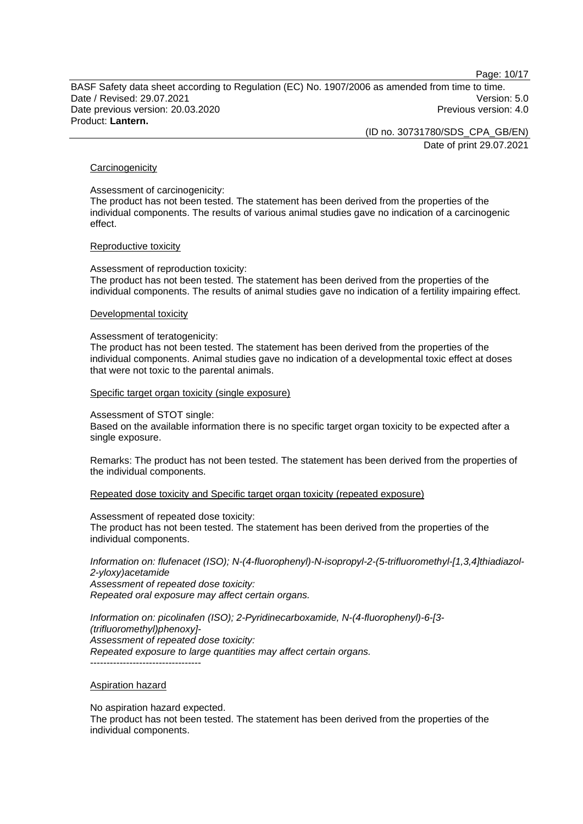Page: 10/17

BASF Safety data sheet according to Regulation (EC) No. 1907/2006 as amended from time to time. Date / Revised: 29.07.2021 Version: 5.0 Date previous version: 20.03.2020 **Previous version: 4.0** Previous version: 4.0 Product: **Lantern.** 

(ID no. 30731780/SDS\_CPA\_GB/EN)

Date of print 29.07.2021

#### **Carcinogenicity**

Assessment of carcinogenicity:

The product has not been tested. The statement has been derived from the properties of the individual components. The results of various animal studies gave no indication of a carcinogenic effect.

#### Reproductive toxicity

Assessment of reproduction toxicity: The product has not been tested. The statement has been derived from the properties of the individual components. The results of animal studies gave no indication of a fertility impairing effect.

#### Developmental toxicity

#### Assessment of teratogenicity:

The product has not been tested. The statement has been derived from the properties of the individual components. Animal studies gave no indication of a developmental toxic effect at doses that were not toxic to the parental animals.

Specific target organ toxicity (single exposure)

#### Assessment of STOT single:

Based on the available information there is no specific target organ toxicity to be expected after a single exposure.

Remarks: The product has not been tested. The statement has been derived from the properties of the individual components.

Repeated dose toxicity and Specific target organ toxicity (repeated exposure)

Assessment of repeated dose toxicity: The product has not been tested. The statement has been derived from the properties of the individual components.

*Information on: flufenacet (ISO); N-(4-fluorophenyl)-N-isopropyl-2-(5-trifluoromethyl-[1,3,4]thiadiazol-2-yloxy)acetamide Assessment of repeated dose toxicity: Repeated oral exposure may affect certain organs.* 

*Information on: picolinafen (ISO); 2-Pyridinecarboxamide, N-(4-fluorophenyl)-6-[3- (trifluoromethyl)phenoxy]- Assessment of repeated dose toxicity: Repeated exposure to large quantities may affect certain organs.*  -----------------------------------

#### Aspiration hazard

No aspiration hazard expected.

The product has not been tested. The statement has been derived from the properties of the individual components.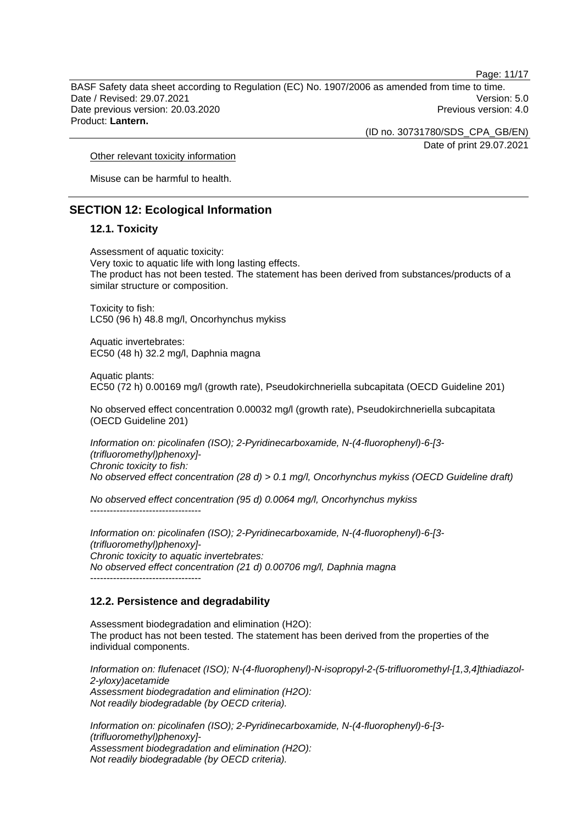Page: 11/17

BASF Safety data sheet according to Regulation (EC) No. 1907/2006 as amended from time to time. Date / Revised: 29.07.2021 Version: 5.0 Date previous version: 20.03.2020 **Previous version: 4.0** Previous version: 4.0 Product: **Lantern.** 

(ID no. 30731780/SDS\_CPA\_GB/EN)

Date of print 29.07.2021

Other relevant toxicity information

Misuse can be harmful to health.

# **SECTION 12: Ecological Information**

#### **12.1. Toxicity**

Assessment of aquatic toxicity: Very toxic to aquatic life with long lasting effects. The product has not been tested. The statement has been derived from substances/products of a similar structure or composition.

Toxicity to fish: LC50 (96 h) 48.8 mg/l, Oncorhynchus mykiss

Aquatic invertebrates: EC50 (48 h) 32.2 mg/l, Daphnia magna

Aquatic plants: EC50 (72 h) 0.00169 mg/l (growth rate), Pseudokirchneriella subcapitata (OECD Guideline 201)

No observed effect concentration 0.00032 mg/l (growth rate), Pseudokirchneriella subcapitata (OECD Guideline 201)

*Information on: picolinafen (ISO); 2-Pyridinecarboxamide, N-(4-fluorophenyl)-6-[3- (trifluoromethyl)phenoxy]- Chronic toxicity to fish: No observed effect concentration (28 d) > 0.1 mg/l, Oncorhynchus mykiss (OECD Guideline draft)* 

*No observed effect concentration (95 d) 0.0064 mg/l, Oncorhynchus mykiss*  ----------------------------------

*Information on: picolinafen (ISO); 2-Pyridinecarboxamide, N-(4-fluorophenyl)-6-[3- (trifluoromethyl)phenoxy]- Chronic toxicity to aquatic invertebrates: No observed effect concentration (21 d) 0.00706 mg/l, Daphnia magna*  ----------------------------------

### **12.2. Persistence and degradability**

Assessment biodegradation and elimination (H2O): The product has not been tested. The statement has been derived from the properties of the individual components.

*Information on: flufenacet (ISO); N-(4-fluorophenyl)-N-isopropyl-2-(5-trifluoromethyl-[1,3,4]thiadiazol-2-yloxy)acetamide Assessment biodegradation and elimination (H2O): Not readily biodegradable (by OECD criteria).* 

*Information on: picolinafen (ISO); 2-Pyridinecarboxamide, N-(4-fluorophenyl)-6-[3- (trifluoromethyl)phenoxy]- Assessment biodegradation and elimination (H2O): Not readily biodegradable (by OECD criteria).*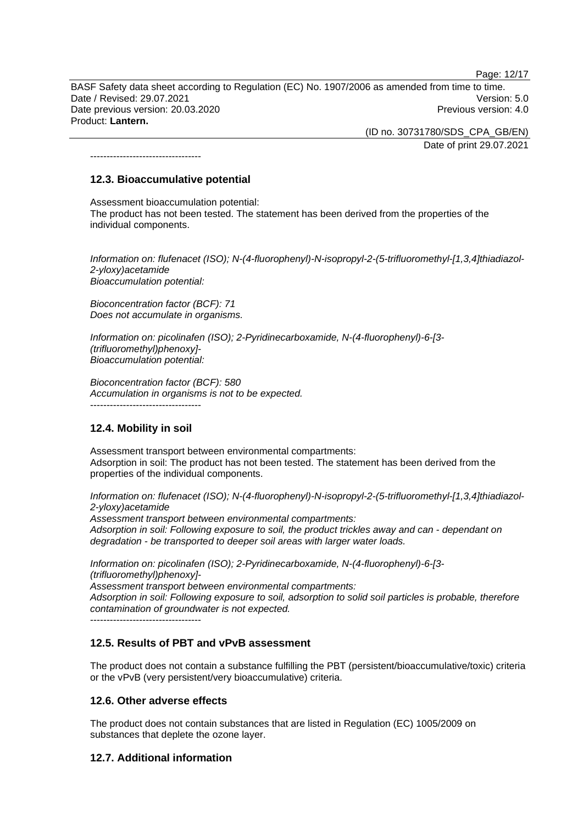Page: 12/17

BASF Safety data sheet according to Regulation (EC) No. 1907/2006 as amended from time to time. Date / Revised: 29.07.2021 Version: 5.0 Date previous version: 20.03.2020 **Previous version: 4.0** Previous version: 4.0 Product: **Lantern.** 

> (ID no. 30731780/SDS\_CPA\_GB/EN) Date of print 29.07.2021

----------------------------------

# **12.3. Bioaccumulative potential**

Assessment bioaccumulation potential: The product has not been tested. The statement has been derived from the properties of the individual components.

*Information on: flufenacet (ISO); N-(4-fluorophenyl)-N-isopropyl-2-(5-trifluoromethyl-[1,3,4]thiadiazol-2-yloxy)acetamide Bioaccumulation potential:* 

*Bioconcentration factor (BCF): 71 Does not accumulate in organisms.* 

*Information on: picolinafen (ISO); 2-Pyridinecarboxamide, N-(4-fluorophenyl)-6-[3- (trifluoromethyl)phenoxy]- Bioaccumulation potential:* 

*Bioconcentration factor (BCF): 580 Accumulation in organisms is not to be expected.*  ----------------------------------

# **12.4. Mobility in soil**

Assessment transport between environmental compartments: Adsorption in soil: The product has not been tested. The statement has been derived from the properties of the individual components.

*Information on: flufenacet (ISO); N-(4-fluorophenyl)-N-isopropyl-2-(5-trifluoromethyl-[1,3,4]thiadiazol-2-yloxy)acetamide* 

*Assessment transport between environmental compartments: Adsorption in soil: Following exposure to soil, the product trickles away and can - dependant on degradation - be transported to deeper soil areas with larger water loads.*

*Information on: picolinafen (ISO); 2-Pyridinecarboxamide, N-(4-fluorophenyl)-6-[3- (trifluoromethyl)phenoxy]-* 

*Assessment transport between environmental compartments: Adsorption in soil: Following exposure to soil, adsorption to solid soil particles is probable, therefore contamination of groundwater is not expected.*

----------------------------------

# **12.5. Results of PBT and vPvB assessment**

The product does not contain a substance fulfilling the PBT (persistent/bioaccumulative/toxic) criteria or the vPvB (very persistent/very bioaccumulative) criteria.

# **12.6. Other adverse effects**

The product does not contain substances that are listed in Regulation (EC) 1005/2009 on substances that deplete the ozone layer.

# **12.7. Additional information**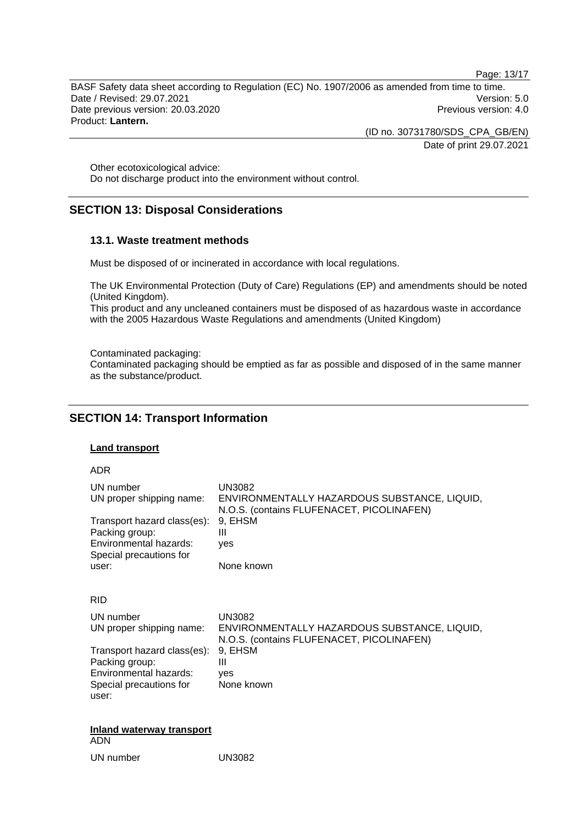Page: 13/17

BASF Safety data sheet according to Regulation (EC) No. 1907/2006 as amended from time to time. Date / Revised: 29.07.2021 Version: 5.0 Date previous version: 20.03.2020 **Previous version: 4.0** Previous version: 4.0 Product: **Lantern.** 

(ID no. 30731780/SDS\_CPA\_GB/EN)

Date of print 29.07.2021

Other ecotoxicological advice: Do not discharge product into the environment without control.

# **SECTION 13: Disposal Considerations**

#### **13.1. Waste treatment methods**

Must be disposed of or incinerated in accordance with local regulations.

The UK Environmental Protection (Duty of Care) Regulations (EP) and amendments should be noted (United Kingdom).

This product and any uncleaned containers must be disposed of as hazardous waste in accordance with the 2005 Hazardous Waste Regulations and amendments (United Kingdom)

Contaminated packaging:

Contaminated packaging should be emptied as far as possible and disposed of in the same manner as the substance/product.

# **SECTION 14: Transport Information**

#### **Land transport**

ADR

| UN number                   | UN3082                                       |
|-----------------------------|----------------------------------------------|
| UN proper shipping name:    | ENVIRONMENTALLY HAZARDOUS SUBSTANCE, LIQUID, |
| Transport hazard class(es): | N.O.S. (contains FLUFENACET, PICOLINAFEN)    |
| Packing group:              | 9, EHSM                                      |
| Environmental hazards:      | Ш                                            |
| Special precautions for     | ves                                          |
| user:                       | None known                                   |
| <b>RID</b>                  |                                              |
| UN number                   | <b>UN3082</b>                                |
| UN proper shipping name:    | ENVIRONMENTALLY HAZARDOUS SUBSTANCE, LIQUID, |
| Transport hazard class(es): | N.O.S. (contains FLUFENACET, PICOLINAFEN)    |
| Packing group:              | 9, EHSM                                      |
| Environmental hazards:      | Ш                                            |
| Special precautions for     | ves                                          |
| user:                       | None known                                   |
| Inland waterway transport   |                                              |

ADN

UN number UN3082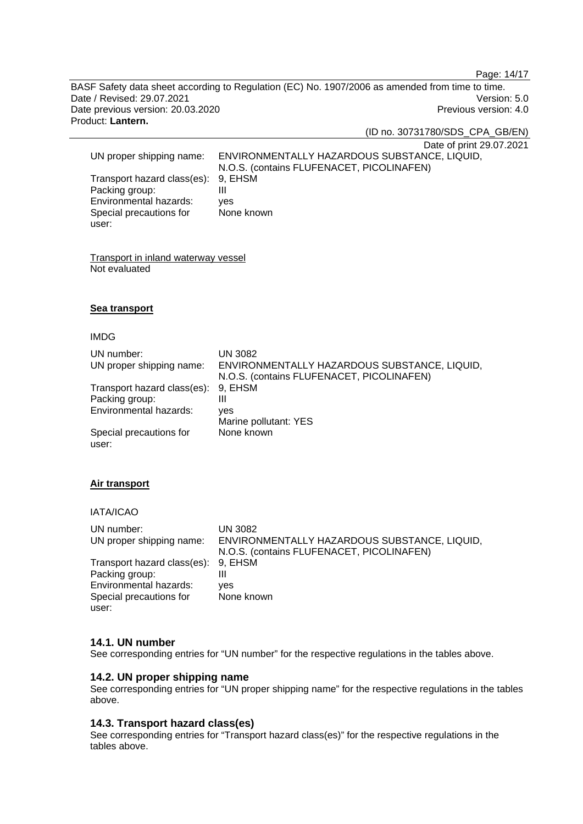Page: 14/17

BASF Safety data sheet according to Regulation (EC) No. 1907/2006 as amended from time to time. Date / Revised: 29.07.2021 Version: 5.0 Date previous version: 20.03.2020 **Previous version: 4.0** Previous version: 4.0 Product: **Lantern.** 

(ID no. 30731780/SDS\_CPA\_GB/EN)

Date of print 29.07.2021

| UN proper shipping name:            | ENVIRONMENTALLY HAZARDOUS SUBSTANCE, LIQUID, |
|-------------------------------------|----------------------------------------------|
|                                     | N.O.S. (contains FLUFENACET, PICOLINAFEN)    |
| Transport hazard class(es): 9, EHSM |                                              |
| Packing group:                      |                                              |
| Environmental hazards:              | ves                                          |
| Special precautions for             | None known                                   |
| user:                               |                                              |

Transport in inland waterway vessel Not evaluated

### **Sea transport**

#### IMDG

| UN number:<br>UN proper shipping name:        | UN 3082<br>ENVIRONMENTALLY HAZARDOUS SUBSTANCE, LIQUID,<br>N.O.S. (contains FLUFENACET, PICOLINAFEN) |
|-----------------------------------------------|------------------------------------------------------------------------------------------------------|
| Transport hazard class(es):<br>Packing group: | 9. EHSM<br>Ш                                                                                         |
| Environmental hazards:                        | ves<br>Marine pollutant: YES                                                                         |
| Special precautions for<br>user:              | None known                                                                                           |

### **Air transport**

#### IATA/ICAO

| UN number:                          | UN 3082                                      |
|-------------------------------------|----------------------------------------------|
| UN proper shipping name:            | ENVIRONMENTALLY HAZARDOUS SUBSTANCE, LIQUID, |
|                                     | N.O.S. (contains FLUFENACET, PICOLINAFEN)    |
| Transport hazard class(es): 9, EHSM |                                              |
| Packing group:                      | Ш                                            |
| Environmental hazards:              | ves                                          |
| Special precautions for             | None known                                   |
| user:                               |                                              |

### **14.1. UN number**

See corresponding entries for "UN number" for the respective regulations in the tables above.

### **14.2. UN proper shipping name**

See corresponding entries for "UN proper shipping name" for the respective regulations in the tables above.

# **14.3. Transport hazard class(es)**

See corresponding entries for "Transport hazard class(es)" for the respective regulations in the tables above.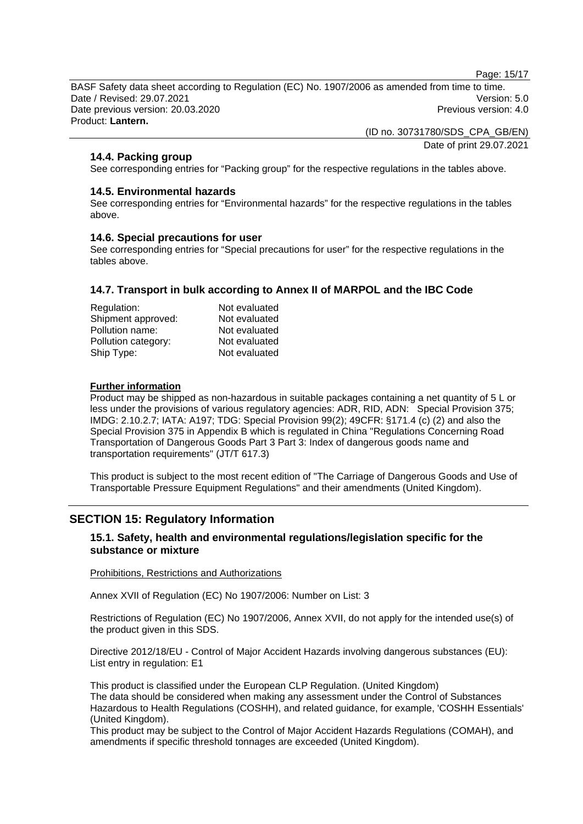Page: 15/17

BASF Safety data sheet according to Regulation (EC) No. 1907/2006 as amended from time to time. Date / Revised: 29.07.2021 Version: 5.0 Date previous version: 20.03.2020 **Previous version: 4.0** Previous version: 4.0 Product: **Lantern.** 

> (ID no. 30731780/SDS\_CPA\_GB/EN) Date of print 29.07.2021

### **14.4. Packing group**

See corresponding entries for "Packing group" for the respective regulations in the tables above.

#### **14.5. Environmental hazards**

See corresponding entries for "Environmental hazards" for the respective regulations in the tables above.

#### **14.6. Special precautions for user**

See corresponding entries for "Special precautions for user" for the respective regulations in the tables above.

#### **14.7. Transport in bulk according to Annex II of MARPOL and the IBC Code**

| Regulation:         | Not evaluated |
|---------------------|---------------|
| Shipment approved:  | Not evaluated |
| Pollution name:     | Not evaluated |
| Pollution category: | Not evaluated |
| Ship Type:          | Not evaluated |

#### **Further information**

Product may be shipped as non-hazardous in suitable packages containing a net quantity of 5 L or less under the provisions of various regulatory agencies: ADR, RID, ADN: Special Provision 375; IMDG: 2.10.2.7; IATA: A197; TDG: Special Provision 99(2); 49CFR: §171.4 (c) (2) and also the Special Provision 375 in Appendix B which is regulated in China "Regulations Concerning Road Transportation of Dangerous Goods Part 3 Part 3: Index of dangerous goods name and transportation requirements" (JT/T 617.3)

This product is subject to the most recent edition of "The Carriage of Dangerous Goods and Use of Transportable Pressure Equipment Regulations" and their amendments (United Kingdom).

# **SECTION 15: Regulatory Information**

#### **15.1. Safety, health and environmental regulations/legislation specific for the substance or mixture**

#### Prohibitions, Restrictions and Authorizations

Annex XVII of Regulation (EC) No 1907/2006: Number on List: 3

Restrictions of Regulation (EC) No 1907/2006, Annex XVII, do not apply for the intended use(s) of the product given in this SDS.

Directive 2012/18/EU - Control of Major Accident Hazards involving dangerous substances (EU): List entry in regulation: E1

This product is classified under the European CLP Regulation. (United Kingdom) The data should be considered when making any assessment under the Control of Substances Hazardous to Health Regulations (COSHH), and related guidance, for example, 'COSHH Essentials' (United Kingdom).

This product may be subject to the Control of Major Accident Hazards Regulations (COMAH), and amendments if specific threshold tonnages are exceeded (United Kingdom).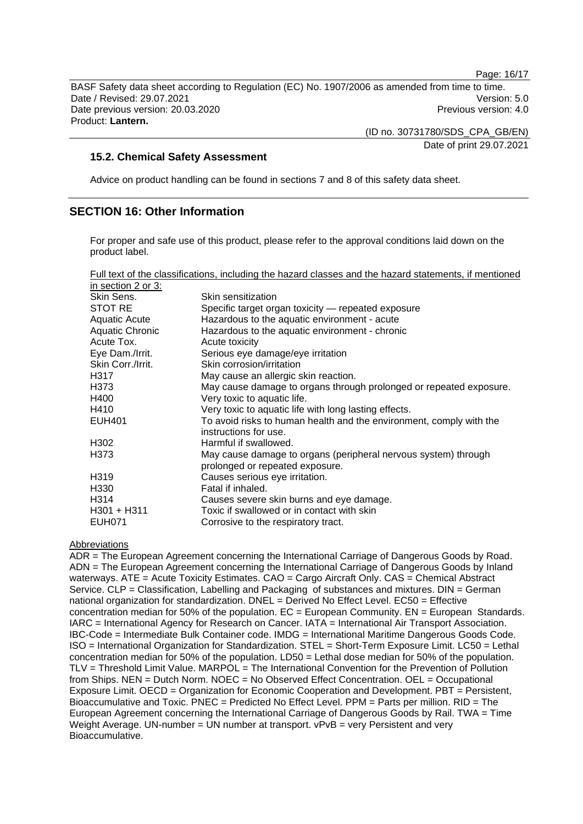Page: 16/17

BASF Safety data sheet according to Regulation (EC) No. 1907/2006 as amended from time to time. Date / Revised: 29.07.2021 Version: 5.0 Date previous version: 20.03.2020 **Previous version: 4.0** Previous version: 4.0 Product: **Lantern.** 

(ID no. 30731780/SDS\_CPA\_GB/EN)

Date of print 29.07.2021

### **15.2. Chemical Safety Assessment**

Advice on product handling can be found in sections 7 and 8 of this safety data sheet.

# **SECTION 16: Other Information**

For proper and safe use of this product, please refer to the approval conditions laid down on the product label.

Full text of the classifications, including the hazard classes and the hazard statements, if mentioned

| in section 2 or 3:   |                                                                                                   |
|----------------------|---------------------------------------------------------------------------------------------------|
| Skin Sens.           | Skin sensitization                                                                                |
| STOT RE              | Specific target organ toxicity — repeated exposure                                                |
| <b>Aquatic Acute</b> | Hazardous to the aquatic environment - acute                                                      |
| Aquatic Chronic      | Hazardous to the aquatic environment - chronic                                                    |
| Acute Tox.           | Acute toxicity                                                                                    |
| Eye Dam./Irrit.      | Serious eye damage/eye irritation                                                                 |
| Skin Corr./Irrit.    | Skin corrosion/irritation                                                                         |
| H317                 | May cause an allergic skin reaction.                                                              |
| H373                 | May cause damage to organs through prolonged or repeated exposure.                                |
| H400                 | Very toxic to aquatic life.                                                                       |
| H410                 | Very toxic to aquatic life with long lasting effects.                                             |
| <b>EUH401</b>        | To avoid risks to human health and the environment, comply with the<br>instructions for use.      |
| H302                 | Harmful if swallowed.                                                                             |
| H373                 | May cause damage to organs (peripheral nervous system) through<br>prolonged or repeated exposure. |
| H319                 | Causes serious eye irritation.                                                                    |
| H330                 | Fatal if inhaled.                                                                                 |
| H314                 | Causes severe skin burns and eye damage.                                                          |
| $H301 + H311$        | Toxic if swallowed or in contact with skin                                                        |
| <b>EUH071</b>        | Corrosive to the respiratory tract.                                                               |

### Abbreviations

ADR = The European Agreement concerning the International Carriage of Dangerous Goods by Road. ADN = The European Agreement concerning the International Carriage of Dangerous Goods by Inland waterways. ATE = Acute Toxicity Estimates. CAO = Cargo Aircraft Only. CAS = Chemical Abstract Service. CLP = Classification, Labelling and Packaging of substances and mixtures. DIN = German national organization for standardization.  $DNEL = Derived No Effect Level. EC50 = Effective$ concentration median for 50% of the population.  $EC = European Community$ .  $EN = European Standards$ . IARC = International Agency for Research on Cancer. IATA = International Air Transport Association. IBC-Code = Intermediate Bulk Container code. IMDG = International Maritime Dangerous Goods Code. ISO = International Organization for Standardization. STEL = Short-Term Exposure Limit. LC50 = Lethal concentration median for 50% of the population. LD50 = Lethal dose median for 50% of the population. TLV = Threshold Limit Value. MARPOL = The International Convention for the Prevention of Pollution from Ships. NEN = Dutch Norm. NOEC = No Observed Effect Concentration. OEL = Occupational Exposure Limit. OECD = Organization for Economic Cooperation and Development. PBT = Persistent, Bioaccumulative and Toxic. PNEC = Predicted No Effect Level. PPM = Parts per million. RID = The European Agreement concerning the International Carriage of Dangerous Goods by Rail. TWA = Time Weight Average. UN-number = UN number at transport.  $vPvB = verv$  Persistent and very Bioaccumulative.